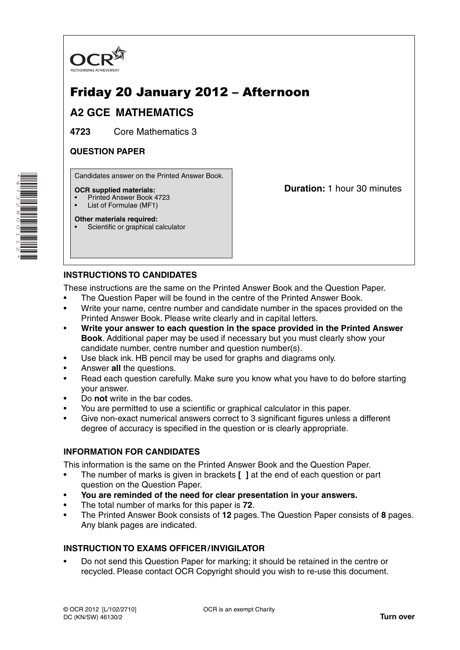

## Friday 20 January 2012 – Afternoon

## **A2 GCE MATHEMATICS**

**4723** Core Mathematics 3

### **QUESTION PAPER**

Candidates answer on the Printed Answer Book.

#### **OCR supplied materials:**

- Printed Answer Book 4723
- List of Formulae (MF1) **Other materials required:**

**Duration:** 1 hour 30 minutes

# **INSTRUCTIONS TO CANDIDATES**

Scientific or graphical calculator

These instructions are the same on the Printed Answer Book and the Question Paper.

- The Question Paper will be found in the centre of the Printed Answer Book.
- Write your name, centre number and candidate number in the spaces provided on the Printed Answer Book. Please write clearly and in capital letters.
- **Write your answer to each question in the space provided in the Printed Answer Book**. Additional paper may be used if necessary but you must clearly show your candidate number, centre number and question number(s).
- Use black ink. HB pencil may be used for graphs and diagrams only.
- Answer **all** the questions.
- Read each question carefully. Make sure you know what you have to do before starting your answer.
- Do **not** write in the bar codes.
- You are permitted to use a scientific or graphical calculator in this paper.
- Give non-exact numerical answers correct to 3 significant figures unless a different degree of accuracy is specified in the question or is clearly appropriate.

### **INFORMATION FOR CANDIDATES**

This information is the same on the Printed Answer Book and the Question Paper.

- The number of marks is given in brackets **[ ]** at the end of each question or part question on the Question Paper.
- **You are reminded of the need for clear presentation in your answers.**
- The total number of marks for this paper is **72**.
- The Printed Answer Book consists of **12** pages. The Question Paper consists of **8** pages. Any blank pages are indicated.

### **INSTRUCTION TO EXAMS OFFICER / INVIGILATOR**

• Do not send this Question Paper for marking; it should be retained in the centre or recycled. Please contact OCR Copyright should you wish to re-use this document.

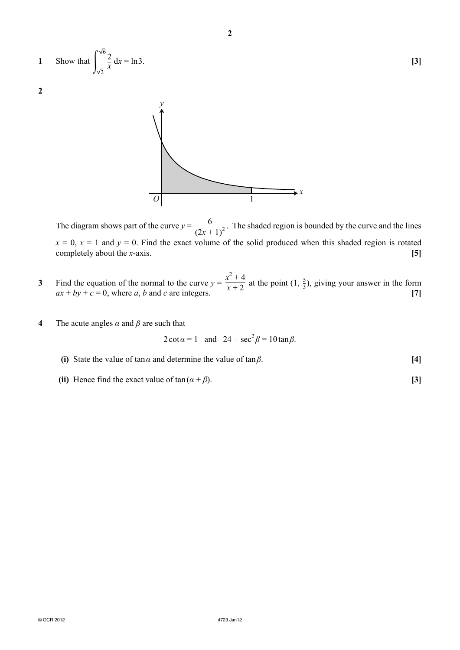1 Show that 
$$
\int_{\sqrt{2}}^{\sqrt{6}} \frac{2}{x} dx = \ln 3
$$
. [3]

**2**

**2**



The diagram shows part of the curve  $y = \frac{6}{(2x+1)^2}$ . The shaded region is bounded by the curve and the lines  $x = 0$ ,  $x = 1$  and  $y = 0$ . Find the exact volume of the solid produced when this shaded region is rotated completely about the *x*-axis. **[5]**

- 3 Find the equation of the normal to the curve  $y = \frac{x^2 + 4}{x + 2}$  at the point  $(1, \frac{5}{3})$ , giving your answer in the form  $ax + by + c = 0$ , where *a*, *b* and *c* are integers. [7]
- **4** The acute angles *α* and *β* are such that

 $2 \cot \alpha = 1$  and  $24 + \sec^2 \beta = 10 \tan \beta$ .

- **(i)** State the value of tan  $\alpha$  and determine the value of tan  $\beta$ . [4]
- **(ii)** Hence find the exact value of tan  $(\alpha + \beta)$ . [3]

© OCR 2012 4723 Jan12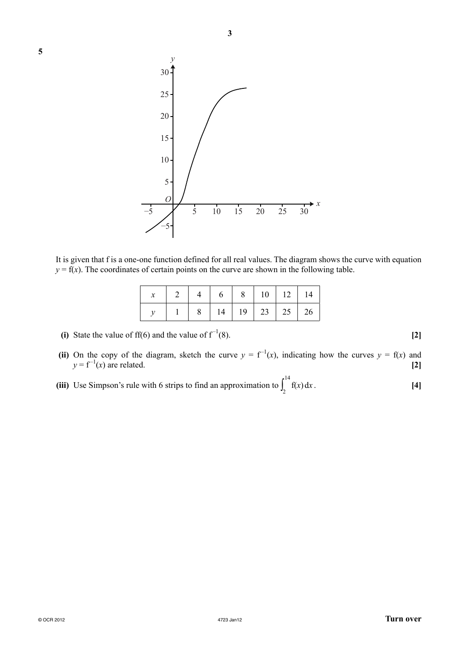

It is given that f is a one-one function defined for all real values. The diagram shows the curve with equation  $y = f(x)$ . The coordinates of certain points on the curve are shown in the following table.

|  | $\sim$ 4 $\mid$ | $6$   8   10   12   14 |  |  |
|--|-----------------|------------------------|--|--|
|  |                 |                        |  |  |

- **(i)** State the value of ff(6) and the value of  $f^{-1}(8)$ . [2]
- (ii) On the copy of the diagram, sketch the curve  $y = f^{-1}(x)$ , indicating how the curves  $y = f(x)$  and  $y = f^{-1}(x)$  are related. **[2]**
- (iii) Use Simpson's rule with 6 strips to find an approximation to  $\int_{2}^{14}$  $\int_2^{2} f(x) dx$  . [4]

**5**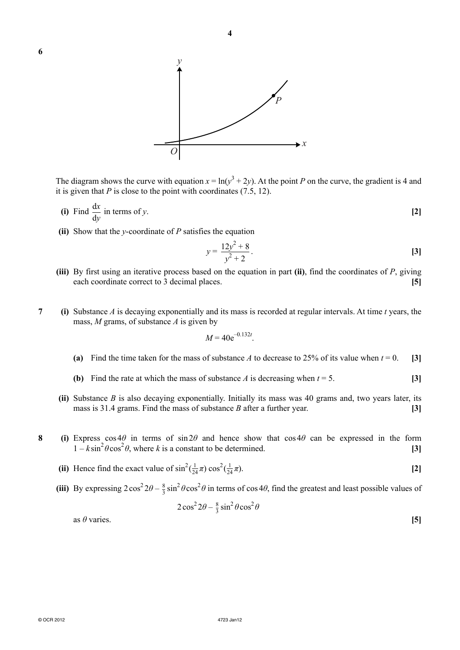

The diagram shows the curve with equation  $x = ln(y^3 + 2y)$ . At the point *P* on the curve, the gradient is 4 and it is given that  $P$  is close to the point with coordinates  $(7.5, 12)$ .

(i) Find 
$$
\frac{dx}{dy}
$$
 in terms of y. [2]

 **(ii)** Show that the *y*-coordinate of *P* satisfies the equation

$$
y = \frac{12y^2 + 8}{y^2 + 2}.
$$
 [3]

- **(iii)** By first using an iterative process based on the equation in part **(ii)**, find the coordinates of *P*, giving each coordinate correct to 3 decimal places. **[5]**
- **7 (i)** Substance *A* is decaying exponentially and its mass is recorded at regular intervals. At time *t* years, the mass, *M* grams, of substance *A* is given by

$$
M = 40e^{-0.132t}.
$$

- (a) Find the time taken for the mass of substance *A* to decrease to 25% of its value when  $t = 0$ . [3]
- **(b)** Find the rate at which the mass of substance *A* is decreasing when  $t = 5$ . [3]
- **(ii)** Substance *B* is also decaying exponentially. Initially its mass was 40 grams and, two years later, its mass is 31.4 grams. Find the mass of substance *B* after a further year. **[3]**
- **8 (i)** Express cos 4*θ* in terms of sin 2*θ* and hence show that cos 4*θ* can be expressed in the form  $1 - k \sin^2 \theta \cos^2 \theta$ , where *k* is a constant to be determined. **[3]**
- (ii) Hence find the exact value of  $\sin^2(\frac{1}{24}\pi) \cos^2(\frac{1}{24}\pi)$  $\frac{1}{24}\pi$ ). **[2]**
- (iii) By expressing  $2\cos^2 2\theta \frac{8}{3}\sin^2 \theta \cos^2 \theta$  in terms of  $\cos 4\theta$ , find the greatest and least possible values of

$$
2\cos^2 2\theta - \frac{8}{3}\sin^2 \theta \cos^2 \theta
$$

 $\alpha$  *as*  $\theta$  varies. **[5]**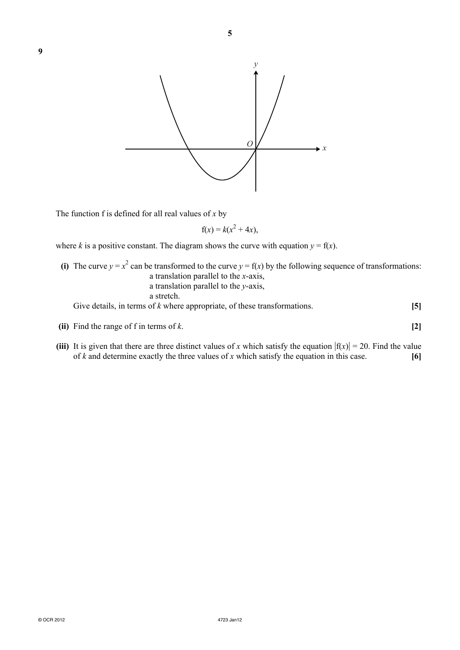

The function f is defined for all real values of *x* by

$$
f(x) = k(x^2 + 4x),
$$

where *k* is a positive constant. The diagram shows the curve with equation  $y = f(x)$ .

- (i) The curve  $y = x^2$  can be transformed to the curve  $y = f(x)$  by the following sequence of transformations: a translation parallel to the *x*-axis, a translation parallel to the *y*-axis, a stretch. Give details, in terms of *k* where appropriate, of these transformations. **[5]** 
	- **(ii)** Find the range of f in terms of *k*. **[2]**
	- (iii) It is given that there are three distinct values of *x* which satisfy the equation  $|f(x)| = 20$ . Find the value of *k* and determine exactly the three values of *x* which satisfy the equation in this case. **[6]**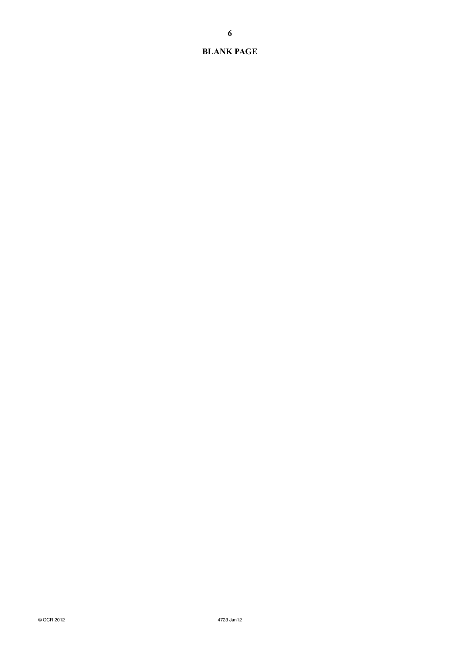#### **BLANK PAGE**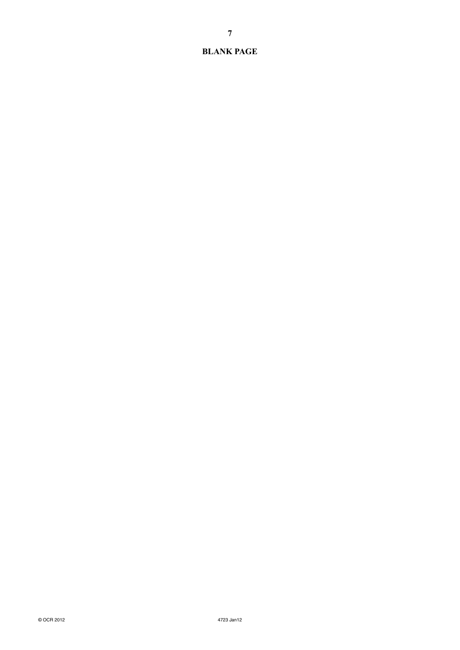#### **BLANK PAGE**